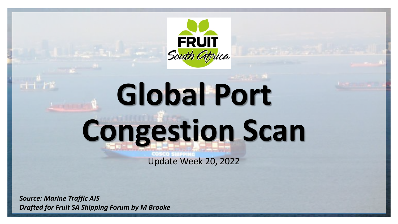

# **Global Port Congestion Scan**

Update Week 20, 2022

*Source: Marine Traffic AIS Drafted for Fruit SA Shipping Forum by M Brooke*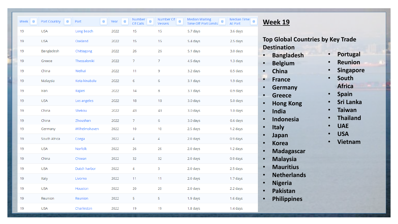| $\Rightarrow$<br>Week | $\Leftrightarrow$<br>Port Country | $\hat{\Rightarrow}$<br>Port | $\hat{\Rightarrow}$<br>Year | Number<br>$\Leftrightarrow$<br>Of Calls | Number Of<br>$\Leftrightarrow$<br>Vessels | <b>Median Waiting</b><br>$\Leftrightarrow$<br>Time Off Port Limits | Median Time<br>$\Leftrightarrow$<br>At Port |
|-----------------------|-----------------------------------|-----------------------------|-----------------------------|-----------------------------------------|-------------------------------------------|--------------------------------------------------------------------|---------------------------------------------|
| 19                    | <b>USA</b>                        | Long beach                  | 2022                        | 15                                      | 15                                        | 5.7 days                                                           | 3.6 days                                    |
| 19                    | <b>USA</b>                        | Oakland                     | 2022                        | 15                                      | 15                                        | 5.4 days                                                           | 2.5 days                                    |
| 19                    | Bangladesh                        | Chittagong                  | 2022                        | 26                                      | 26                                        | 5.1 days                                                           | 3.0 days                                    |
| 19                    | Greece                            | Thessaloniki                | 2022                        | 7                                       | $\overline{7}$                            | 4.5 days                                                           | 1.3 days                                    |
| 19                    | China                             | Weihai                      | 2022                        | 11                                      | 9                                         | 3.2 days                                                           | 0.5 days                                    |
| 19                    | Malaysia                          | Kota kinabalu               | 2022                        | 6                                       | 6                                         | 3.1 days                                                           | 1.9 days                                    |
| 19                    | Iran                              | Rajaei                      | 2022                        | 14                                      | 8                                         | 3.1 days                                                           | 0.9 days                                    |
| 19                    | <b>USA</b>                        | Los angeles                 | 2022                        | 18                                      | 18                                        | 3.0 days                                                           | 5.0 days                                    |
| 19                    | China                             | Shekou                      | 2022                        | 43                                      | 43                                        | 3.0 days                                                           | 1.0 days                                    |
| 19                    | China                             | Zhoushan                    | 2022                        | 7                                       | 6                                         | 3.0 days                                                           | 0.6 days                                    |
| 19                    | Germany                           | Wilhelmshaven               | 2022                        | $10$                                    | 10                                        | 2.5 days                                                           | 1.2 days                                    |
| 19                    | South Africa                      | Coega                       | 2022                        | 4                                       | 4                                         | 2.0 days                                                           | 0.9 days                                    |
| 19                    | <b>USA</b>                        | Norfolk                     | 2022                        | 26                                      | 26                                        | 2.0 days                                                           | 1.2 days                                    |
| 19                    | China                             | Chiwan                      | 2022                        | 32                                      | 32                                        | 2.0 days                                                           | 0.9 days                                    |
| 19                    | <b>USA</b>                        | Dutch harbor                | 2022                        | 4                                       | 3                                         | 2.0 days                                                           | 2.5 days                                    |
| 19                    | Italy                             | Livorno                     | 2022                        | 11                                      | 11                                        | 2.0 days                                                           | 1.7 days                                    |
| 19                    | <b>USA</b>                        | Houston                     | 2022                        | 20                                      | 20                                        | 2.0 days                                                           | 2.2 days                                    |
| 19                    | Reunion                           | Reunion                     | 2022                        | 5                                       | 5                                         | 1.9 days                                                           | 1.6 days                                    |
| 19                    | <b>USA</b>                        | Charleston                  | 2022                        | 19                                      | 19                                        | 1.8 days                                                           | 1.4 days                                    |

#### **Week 19**

**Top Global Countries by Key Trade Destination**

- **Bangladesh**
- **Belgium**
- **China**
- **France**
- **Germany**
- **Greece**
- **Hong Kong**
- **India**
- **Indonesia**
- **Italy**
- **Japan**
- **Korea**
- **Madagascar**
- **Malaysia**
- **Mauritius**
- **Netherlands**
- **Nigeria**
- **Pakistan**
- **Philippines**
- **Portugal**
- **Reunion**
- **Singapore**
- **South Africa**
- **Spain**
- **Sri Lanka**
- **Taiwan**
- **Thailand**
- **UAE**
- **USA**
- **Vietnam**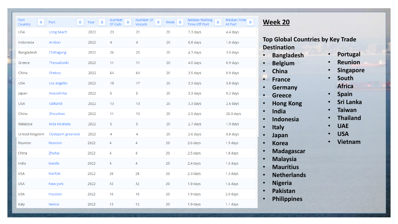| Port<br>$\hat{\Rightarrow}$<br>Country | $\Leftrightarrow$<br>Port | $\hat{\Rightarrow}$<br>Year | Number<br>$\Leftrightarrow$<br>Of Calls | Number Of<br>♦<br>Vessels | Week $\frac{1}{2}$ | Median Waiting<br>$\Leftrightarrow$<br><b>Time Off Port</b> | Median Time<br>⇔<br>At Port |
|----------------------------------------|---------------------------|-----------------------------|-----------------------------------------|---------------------------|--------------------|-------------------------------------------------------------|-----------------------------|
| <b>USA</b>                             | Long beach                | 2022                        | 23                                      | 21                        | 20                 | 7.3 days                                                    | 4.4 days                    |
| Indonesia                              | Ambon                     | 2022                        | 4                                       | $\overline{4}$            | 20                 | 6.8 days                                                    | 1.6 days                    |
| Bangladesh                             | Chittagong                | 2022                        | 26                                      | 25                        | 20                 | 4.7 days                                                    | 3.0 days                    |
| Greece                                 | Thessaloniki              | 2022                        | 11                                      | 11                        | 20                 | 4.0 days                                                    | 0.9 days                    |
| China                                  | Shekou                    | 2022                        | 64                                      | 64                        | 20                 | 3.5 days                                                    | 0.9 days                    |
| <b>USA</b>                             | Los angeles               | 2022                        | 18                                      | 17                        | 20                 | 3.3 days                                                    | 5.8 days                    |
| Japan                                  | Hososhima                 | 2022                        | 5                                       | 5                         | 20                 | 3.3 days                                                    | 0.2 days                    |
| <b>USA</b>                             | Oakland                   | 2022                        | 13                                      | 13                        | 20                 | 3.3 days                                                    | 2.6 days                    |
| China                                  | Zhoushan                  | 2022                        | 11                                      | 10                        | 20                 | 2.9 days                                                    | 20.3 days                   |
| Malaysia                               | Kota kinabalu             | 2022                        | 5                                       | 5                         | 20                 | 2.7 days                                                    | 1.9 days                    |
| United Kingdom                         | Clydeport greenock        | 2022                        | 4                                       | 4                         | 20                 | 2.6 days                                                    | 0.8 days                    |
| Reunion                                | Reunion                   | 2022                        | 4                                       | 4                         | 20                 | 2.6 days                                                    | 1.9 days                    |
| China                                  | Zhuhai                    | 2022                        | 4                                       | 4                         | 20                 | 2.5 days                                                    | 1.8 days                    |
| India                                  | Kandla                    | 2022                        | $\overline{4}$                          | $\overline{4}$            | 20                 | 2.4 days                                                    | 1.5 days                    |
| <b>USA</b>                             | Norfolk                   | 2022                        | 28                                      | 28                        | 20                 | 2.3 days                                                    | 1.3 days                    |
| <b>USA</b>                             | New york                  | 2022                        | 43                                      | 42                        | 20                 | 1.9 days                                                    | 1.6 days                    |
| <b>USA</b>                             | Houston                   | 2022                        | 16                                      | 16                        | 20                 | 1.9 days                                                    | 2.0 days                    |
| Italy                                  | Venice                    | 2022                        | 13                                      | 12                        | 20                 | 1.9 days                                                    | 1.1 days                    |

#### **Week 20**

**Top Global Countries by Key Trade Destination**

- **Bangladesh**
- **Belgium**
- **China**
- **France**
- **Germany**
- **Greece**
- **Hong Kong**
- **India**
- **Indonesia**
- **Italy**
- **Japan**
- **Korea**
- **Madagascar**
- **Malaysia**
- **Mauritius**
- **Netherlands**
- **Nigeria**
- **Pakistan**
- **Philippines**
- **Portugal**
- **Reunion**
- **Singapore**
- **South Africa**
- **Spain**
- **Sri Lanka**
- **Taiwan**
- **Thailand**
- **UAE**
- **USA**
- **Vietnam**